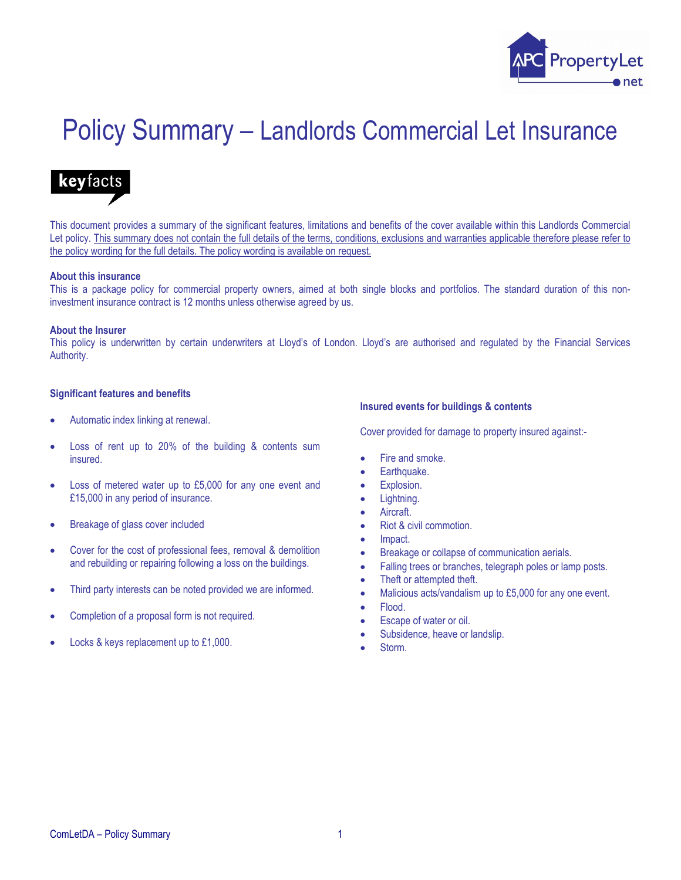

# Policy Summary – Landlords Commercial Let Insurance



This document provides a summary of the significant features, limitations and benefits of the cover available within this Landlords Commercial Let policy. This summary does not contain the full details of the terms, conditions, exclusions and warranties applicable therefore please refer to the policy wording for the full details. The policy wording is available on request.

#### About this insurance

This is a package policy for commercial property owners, aimed at both single blocks and portfolios. The standard duration of this noninvestment insurance contract is 12 months unless otherwise agreed by us.

#### About the Insurer

This policy is underwritten by certain underwriters at Lloyd's of London. Lloyd's are authorised and regulated by the Financial Services Authority.

#### Significant features and benefits

- Automatic index linking at renewal.
- Loss of rent up to 20% of the building & contents sum insured.
- Loss of metered water up to £5,000 for any one event and £15,000 in any period of insurance.
- Breakage of glass cover included
- Cover for the cost of professional fees, removal & demolition and rebuilding or repairing following a loss on the buildings.
- Third party interests can be noted provided we are informed.
- Completion of a proposal form is not required.
- Locks & keys replacement up to £1,000.

#### Insured events for buildings & contents

Cover provided for damage to property insured against:-

- Fire and smoke.
- Earthquake.
- Explosion.
- Lightning.
- **Aircraft**
- Riot & civil commotion.
- Impact.
- Breakage or collapse of communication aerials.
- Falling trees or branches, telegraph poles or lamp posts.
- Theft or attempted theft.
- Malicious acts/vandalism up to £5,000 for any one event.
- Flood.
- Escape of water or oil.
- Subsidence, heave or landslip.
- Storm.